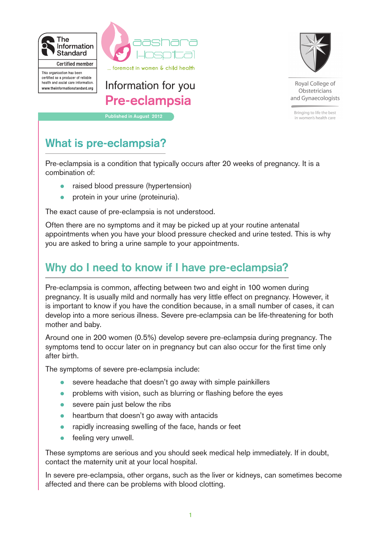

certified as a producer of reliable health and social care information.

www.theinformationstandard.org



**Pre-eclampsia**



Royal College of Obstetricians and Gynaecologists

Bringing to life the best in women's health care

# **What is pre-eclampsia?**

Pre-eclampsia is a condition that typically occurs after 20 weeks of pregnancy. It is a combination of:

• raised blood pressure (hypertension)

**Published in August 2012**

• protein in your urine (proteinuria).

The exact cause of pre-eclampsia is not understood.

Often there are no symptoms and it may be picked up at your routine antenatal appointments when you have your blood pressure checked and urine tested. This is why you are asked to bring a urine sample to your appointments.

# **Why do I need to know if I have pre-eclampsia?**

Pre-eclampsia is common, affecting between two and eight in 100 women during pregnancy. It is usually mild and normally has very little effect on pregnancy. However, it is important to know if you have the condition because, in a small number of cases, it can develop into a more serious illness. Severe pre-eclampsia can be life-threatening for both mother and baby.

Around one in 200 women (0.5%) develop severe pre-eclampsia during pregnancy. The symptoms tend to occur later on in pregnancy but can also occur for the first time only after birth.

The symptoms of severe pre-eclampsia include:

- severe headache that doesn't go away with simple painkillers
- problems with vision, such as blurring or flashing before the eyes
- severe pain just below the ribs
- heartburn that doesn't go away with antacids
- rapidly increasing swelling of the face, hands or feet
- feeling very unwell.

These symptoms are serious and you should seek medical help immediately. If in doubt, contact the maternity unit at your local hospital.

In severe pre-eclampsia, other organs, such as the liver or kidneys, can sometimes become affected and there can be problems with blood clotting.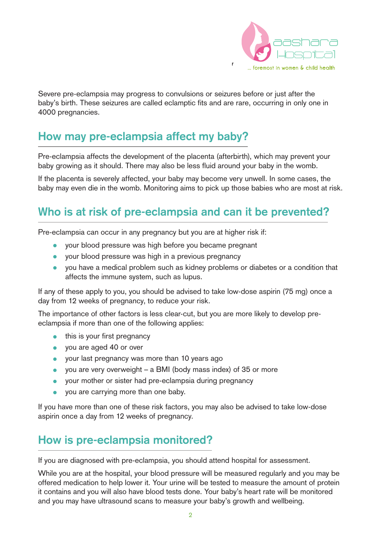

Severe pre-eclampsia may progress to convulsions or seizures before or just after the baby's birth. These seizures are called eclamptic fits and are rare, occurring in only one in 4000 pregnancies.

## **How may pre-eclampsia affect my baby?**

Pre-eclampsia affects the development of the placenta (afterbirth), which may prevent your baby growing as it should. There may also be less fluid around your baby in the womb.

If the placenta is severely affected, your baby may become very unwell. In some cases, the baby may even die in the womb. Monitoring aims to pick up those babies who are most at risk.

# **Who is at risk of pre-eclampsia and can it be prevented?**

Pre-eclampsia can occur in any pregnancy but you are at higher risk if:

- your blood pressure was high before you became pregnant
- vour blood pressure was high in a previous pregnancy
- you have a medical problem such as kidney problems or diabetes or a condition that affects the immune system, such as lupus.

If any of these apply to you, you should be advised to take low-dose aspirin (75 mg) once a day from 12 weeks of pregnancy, to reduce your risk.

The importance of other factors is less clear-cut, but you are more likely to develop preeclampsia if more than one of the following applies:

- this is your first pregnancy
- you are aged 40 or over
- your last pregnancy was more than 10 years ago
- you are very overweight a BMI (body mass index) of 35 or more
- your mother or sister had pre-eclampsia during pregnancy
- you are carrying more than one baby.

If you have more than one of these risk factors, you may also be advised to take low-dose aspirin once a day from 12 weeks of pregnancy.

# **How is pre-eclampsia monitored?**

If you are diagnosed with pre-eclampsia, you should attend hospital for assessment.

While you are at the hospital, your blood pressure will be measured regularly and you may be offered medication to help lower it. Your urine will be tested to measure the amount of protein it contains and you will also have blood tests done. Your baby's heart rate will be monitored and you may have ultrasound scans to measure your baby's growth and wellbeing.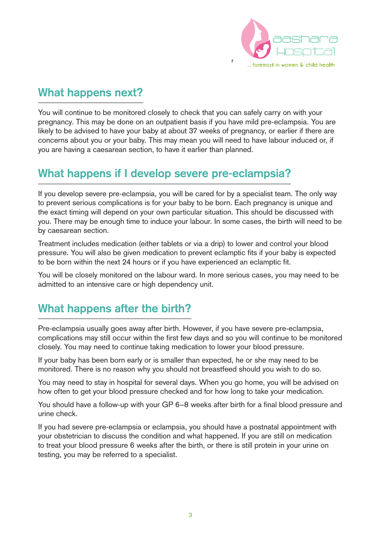

## **What happens next?**

You will continue to be monitored closely to check that you can safely carry on with your pregnancy. This may be done on an outpatient basis if you have mild pre-eclampsia. You are likely to be advised to have your baby at about 37 weeks of pregnancy, or earlier if there are concerns about you or your baby. This may mean you will need to have labour induced or, if you are having a caesarean section, to have it earlier than planned.

### **What happens if I develop severe pre-eclampsia?**

If you develop severe pre-eclampsia, you will be cared for by a specialist team. The only way to prevent serious complications is for your baby to be born. Each pregnancy is unique and the exact timing will depend on your own particular situation. This should be discussed with you. There may be enough time to induce your labour. In some cases, the birth will need to be by caesarean section.

Treatment includes medication (either tablets or via a drip) to lower and control your blood pressure. You will also be given medication to prevent eclamptic fits if your baby is expected to be born within the next 24 hours or if you have experienced an eclamptic fit.

You will be closely monitored on the labour ward. In more serious cases, you may need to be admitted to an intensive care or high dependency unit.

### **What happens after the birth?**

Pre-eclampsia usually goes away after birth. However, if you have severe pre-eclampsia, complications may still occur within the first few days and so you will continue to be monitored closely. You may need to continue taking medication to lower your blood pressure.

If your baby has been born early or is smaller than expected, he or she may need to be monitored. There is no reason why you should not breastfeed should you wish to do so.

You may need to stay in hospital for several days. When you go home, you will be advised on how often to get your blood pressure checked and for how long to take your medication.

You should have a follow-up with your GP 6–8 weeks after birth for a final blood pressure and urine check.

If you had severe pre-eclampsia or eclampsia, you should have a postnatal appointment with your obstetrician to discuss the condition and what happened. If you are still on medication to treat your blood pressure 6 weeks after the birth, or there is still protein in your urine on testing, you may be referred to a specialist.